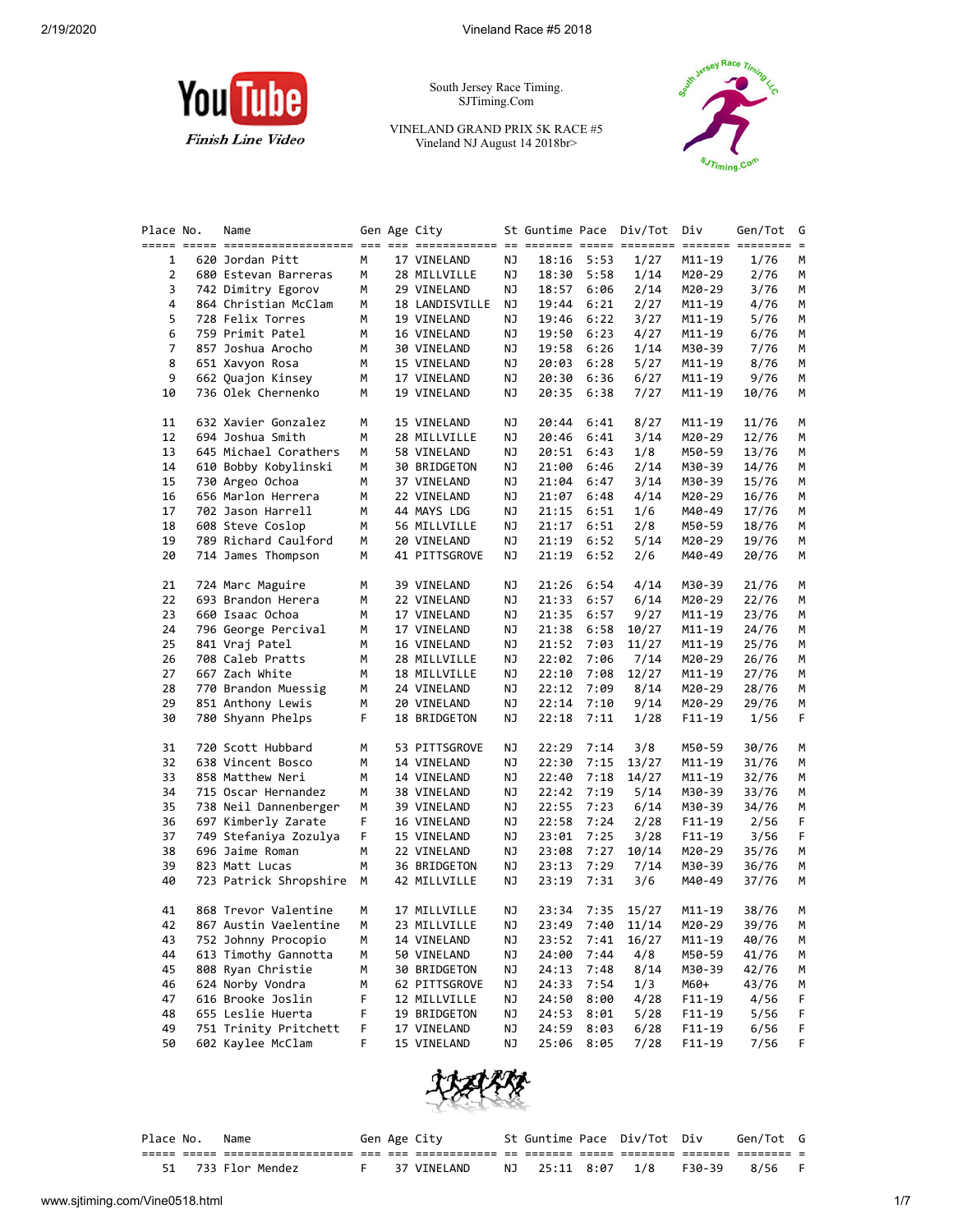

South Jersey Race Timing. SJTiming.Com

VINELAND GRAND PRIX 5K RACE #5 Vineland NJ August 14 2018br>



| Place No. | Name                   |   | Gen Age City   |    |       |      | St Guntime Pace Div/Tot | Div        | Gen/Tot            | G  |
|-----------|------------------------|---|----------------|----|-------|------|-------------------------|------------|--------------------|----|
|           |                        |   |                |    |       |      |                         |            | ======= ======== = |    |
| 1         | 620 Jordan Pitt        | М | 17 VINELAND    | ΝJ | 18:16 | 5:53 | 1/27                    | M11-19     | 1/76               | M  |
| 2         | 680 Estevan Barreras   | М | 28 MILLVILLE   | ΝJ | 18:30 | 5:58 | 1/14                    | M20-29     | 2/76               | м  |
| 3         | 742 Dimitry Egorov     | м | 29 VINELAND    | ΝJ | 18:57 | 6:06 | 2/14                    | M20-29     | 3/76               | М  |
| 4         | 864 Christian McClam   | м | 18 LANDISVILLE | ΝJ | 19:44 | 6:21 | 2/27                    | M11-19     | 4/76               | М  |
| 5         | 728 Felix Torres       | м | 19 VINELAND    | ΝJ | 19:46 | 6:22 | 3/27                    | M11-19     | 5/76               | м  |
| 6         | 759 Primit Patel       | м | 16 VINELAND    | ΝJ | 19:50 | 6:23 | 4/27                    | M11-19     | 6/76               | м  |
| 7         | 857 Joshua Arocho      | м | 30 VINELAND    | ΝJ | 19:58 | 6:26 | 1/14                    | M30-39     | 7/76               | м  |
| 8         | 651 Xavyon Rosa        | м | 15 VINELAND    | ΝJ | 20:03 | 6:28 | 5/27                    | M11-19     | 8/76               | М  |
| 9         | 662 Quajon Kinsey      | м | 17 VINELAND    | ΝJ | 20:30 | 6:36 | 6/27                    | M11-19     | 9/76               | М  |
| 10        | 736 Olek Chernenko     | М | 19 VINELAND    | ΝJ | 20:35 | 6:38 | 7/27                    | M11-19     | 10/76              | М  |
|           |                        |   |                |    |       |      |                         |            |                    |    |
| 11        | 632 Xavier Gonzalez    | М | 15 VINELAND    | ΝJ | 20:44 | 6:41 | 8/27                    | $M11 - 19$ | 11/76              | M  |
| 12        | 694 Joshua Smith       | м | 28 MILLVILLE   | ΝJ | 20:46 | 6:41 | 3/14                    | M20-29     | 12/76              | м  |
| 13        | 645 Michael Corathers  | м | 58 VINELAND    | ΝJ | 20:51 | 6:43 | 1/8                     | M50-59     | 13/76              | м  |
| 14        | 610 Bobby Kobylinski   | м | 30 BRIDGETON   | ΝJ | 21:00 | 6:46 | 2/14                    | M30-39     | 14/76              | М  |
| 15        | 730 Argeo Ochoa        | м | 37 VINELAND    | ΝJ | 21:04 | 6:47 | 3/14                    | M30-39     | 15/76              | M  |
| 16        | 656 Marlon Herrera     | м | 22 VINELAND    | ΝJ | 21:07 | 6:48 | 4/14                    | M20-29     | 16/76              | м  |
| 17        | 702 Jason Harrell      | м | 44 MAYS LDG    | ΝJ | 21:15 | 6:51 | 1/6                     | M40-49     | 17/76              | м  |
| 18        | 608 Steve Coslop       | м | 56 MILLVILLE   | ΝJ | 21:17 | 6:51 | 2/8                     | M50-59     | 18/76              | м  |
| 19        | 789 Richard Caulford   | М | 20 VINELAND    | ΝJ | 21:19 | 6:52 | 5/14                    | M20-29     | 19/76              | М  |
| 20        | 714 James Thompson     | М | 41 PITTSGROVE  | ΝJ | 21:19 | 6:52 | 2/6                     | M40-49     | 20/76              | М  |
|           |                        |   |                |    |       |      |                         |            |                    |    |
| 21        | 724 Marc Maguire       | м | 39 VINELAND    | ΝJ | 21:26 | 6:54 | 4/14                    | M30-39     | 21/76              | м  |
| 22        | 693 Brandon Herera     | м | 22 VINELAND    | ΝJ | 21:33 | 6:57 | 6/14                    | M20-29     | 22/76              | м  |
| 23        | 660 Isaac Ochoa        | м | 17 VINELAND    | ΝJ | 21:35 | 6:57 | 9/27                    | M11-19     | 23/76              | М  |
| 24        | 796 George Percival    | м | 17 VINELAND    | ΝJ | 21:38 | 6:58 | 10/27                   | M11-19     | 24/76              | м  |
| 25        | 841 Vraj Patel         | м | 16 VINELAND    | ΝJ | 21:52 | 7:03 | 11/27                   | M11-19     | 25/76              | М  |
| 26        | 708 Caleb Pratts       | м | 28 MILLVILLE   | ΝJ | 22:02 | 7:06 | 7/14                    | M20-29     | 26/76              | M  |
| 27        | 667 Zach White         | м | 18 MILLVILLE   | ΝJ | 22:10 | 7:08 | 12/27                   | M11-19     | 27/76              | м  |
| 28        | 770 Brandon Muessig    | м | 24 VINELAND    | ΝJ | 22:12 | 7:09 | 8/14                    | M20-29     | 28/76              | м  |
| 29        | 851 Anthony Lewis      | м | 20 VINELAND    | ΝJ | 22:14 | 7:10 | 9/14                    | M20-29     | 29/76              | м  |
| 30        | 780 Shyann Phelps      | F | 18 BRIDGETON   | ΝJ | 22:18 | 7:11 | 1/28                    | F11-19     | 1/56               | F  |
|           |                        |   |                |    |       |      |                         |            |                    |    |
| 31        | 720 Scott Hubbard      | м | 53 PITTSGROVE  | ΝJ | 22:29 | 7:14 | 3/8                     | M50-59     | 30/76              | М  |
| 32        | 638 Vincent Bosco      | м | 14 VINELAND    | ΝJ | 22:30 | 7:15 | 13/27                   | M11-19     | 31/76              | м  |
| 33        | 858 Matthew Neri       | м | 14 VINELAND    | ΝJ | 22:40 | 7:18 | 14/27                   | M11-19     | 32/76              | м  |
| 34        | 715 Oscar Hernandez    | м | 38 VINELAND    | ΝJ | 22:42 | 7:19 | 5/14                    | M30-39     | 33/76              | м  |
| 35        | 738 Neil Dannenberger  | м | 39 VINELAND    | ΝJ | 22:55 | 7:23 | 6/14                    | M30-39     | 34/76              | м  |
| 36        | 697 Kimberly Zarate    | F | 16 VINELAND    | ΝJ | 22:58 | 7:24 | 2/28                    | F11-19     | 2/56               | F  |
| 37        | 749 Stefaniya Zozulya  | F | 15 VINELAND    | ΝJ | 23:01 | 7:25 | 3/28                    | $F11-19$   | 3/56               | F  |
| 38        | 696 Jaime Roman        | м | 22 VINELAND    | ΝJ | 23:08 | 7:27 | 10/14                   | M20-29     | 35/76              | м  |
| 39        | 823 Matt Lucas         | М | 36 BRIDGETON   | ΝJ | 23:13 | 7:29 | 7/14                    | M30-39     | 36/76              | м  |
| 40        | 723 Patrick Shropshire | м | 42 MILLVILLE   | ΝJ | 23:19 | 7:31 | 3/6                     | M40-49     | 37/76              | М  |
|           |                        |   |                |    |       |      |                         |            |                    |    |
| 41        | 868 Trevor Valentine   | м | 17 MILLVILLE   | NJ | 23:34 | 7:35 | 15/27                   | M11-19     | 38/76              | м  |
| 42        | 867 Austin Vaelentine  | М | 23 MILLVILLE   | ΝJ | 23:49 | 7:40 | 11/14                   | M20-29     | 39/76              | М  |
| 43        | 752 Johnny Procopio    | м | 14 VINELAND    | ΝJ | 23:52 | 7:41 | 16/27                   | M11-19     | 40/76              | м  |
| 44        | 613 Timothy Gannotta   | м | 50 VINELAND    | ΝJ | 24:00 | 7:44 | 4/8                     | M50-59     | 41/76              | M  |
| 45        | 808 Ryan Christie      | м | 30 BRIDGETON   | ΝJ | 24:13 | 7:48 | 8/14                    | M30-39     | 42/76              | М  |
| 46        | 624 Norby Vondra       | м | 62 PITTSGROVE  | ΝJ | 24:33 | 7:54 | 1/3                     | M60+       | 43/76              | м  |
| 47        | 616 Brooke Joslin      | F | 12 MILLVILLE   | ΝJ | 24:50 | 8:00 | 4/28                    | $F11-19$   | 4/56               | F  |
| 48        | 655 Leslie Huerta      | F | 19 BRIDGETON   | ΝJ | 24:53 | 8:01 | 5/28                    | $F11 - 19$ | 5/56               | F  |
| 49        | 751 Trinity Pritchett  | F | 17 VINELAND    | ΝJ | 24:59 | 8:03 | 6/28                    | $F11 - 19$ | 6/56               | F  |
| 50        | 602 Kaylee McClam      | F | 15 VINELAND    | ΝJ | 25:06 | 8:05 | 7/28                    | $F11 - 19$ | 7/56               | F. |
|           |                        |   |                |    |       |      |                         |            |                    |    |



| Place No. | Name               |  | Gen Age City |               | St Guntime Pace Div/Tot Div |        | Gen/Tot G |  |
|-----------|--------------------|--|--------------|---------------|-----------------------------|--------|-----------|--|
|           |                    |  |              |               |                             |        |           |  |
|           | 51 733 Flor Mendez |  | 37 VINELAND  | NJ 25:11 8:07 | 1/8                         | F30-39 | 8/56      |  |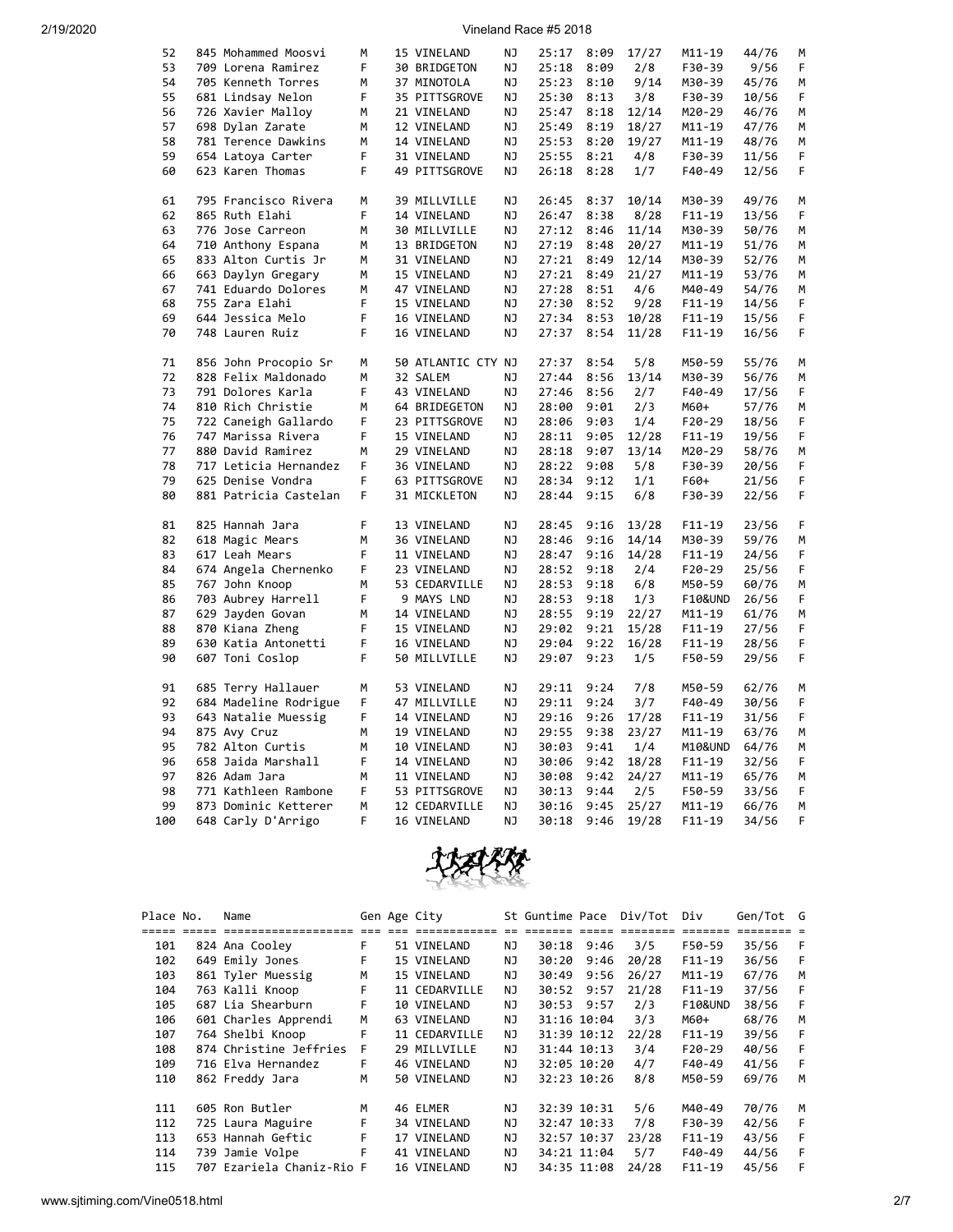| 52  |                       | М  |                    | ΝJ        |       |      |       |            | 44/76 | М |
|-----|-----------------------|----|--------------------|-----------|-------|------|-------|------------|-------|---|
|     | 845 Mohammed Moosvi   |    | 15 VINELAND        |           | 25:17 | 8:09 | 17/27 | M11-19     |       |   |
| 53  | 709 Lorena Ramirez    | F  | 30 BRIDGETON       | ΝJ        | 25:18 | 8:09 | 2/8   | F30-39     | 9/56  | F |
| 54  | 705 Kenneth Torres    | М  | 37 MINOTOLA        | ΝJ        | 25:23 | 8:10 | 9/14  | M30-39     | 45/76 | М |
| 55  | 681 Lindsay Nelon     | F  | 35 PITTSGROVE      | ΝJ        | 25:30 | 8:13 | 3/8   | F30-39     | 10/56 | F |
| 56  | 726 Xavier Malloy     | М  | 21 VINELAND        | ΝJ        | 25:47 | 8:18 | 12/14 | M20-29     | 46/76 | M |
| 57  | 698 Dylan Zarate      | М  | 12 VINELAND        | NJ        | 25:49 | 8:19 | 18/27 | M11-19     | 47/76 | М |
| 58  | 781 Terence Dawkins   | М  | 14 VINELAND        | ΝJ        | 25:53 | 8:20 | 19/27 | M11-19     | 48/76 | M |
| 59  |                       | F  |                    |           |       |      |       |            |       |   |
|     | 654 Latoya Carter     |    | 31 VINELAND        | ΝJ        | 25:55 | 8:21 | 4/8   | F30-39     | 11/56 | F |
| 60  | 623 Karen Thomas      | F  | 49 PITTSGROVE      | NJ        | 26:18 | 8:28 | 1/7   | F40-49     | 12/56 | F |
| 61  | 795 Francisco Rivera  | М  | 39 MILLVILLE       | ΝJ        | 26:45 | 8:37 | 10/14 | M30-39     | 49/76 | М |
| 62  | 865 Ruth Elahi        | F  | 14 VINELAND        | ΝJ        | 26:47 | 8:38 | 8/28  | $F11 - 19$ | 13/56 | F |
| 63  | 776 Jose Carreon      | М  | 30 MILLVILLE       | ΝJ        | 27:12 | 8:46 | 11/14 | M30-39     | 50/76 | M |
| 64  | 710 Anthony Espana    | м  | 13 BRIDGETON       | ΝJ        | 27:19 | 8:48 | 20/27 | M11-19     | 51/76 | М |
| 65  | 833 Alton Curtis Jr   | М  | 31 VINELAND        | ΝJ        | 27:21 | 8:49 | 12/14 | M30-39     | 52/76 | М |
| 66  | 663 Daylyn Gregary    | м  | 15 VINELAND        | ΝJ        | 27:21 | 8:49 | 21/27 | M11-19     | 53/76 | М |
| 67  | 741 Eduardo Dolores   | М  | 47 VINELAND        | ΝJ        | 27:28 |      | 4/6   | M40-49     | 54/76 | M |
|     |                       |    |                    |           |       | 8:51 |       |            |       |   |
| 68  | 755 Zara Elahi        | F  | 15 VINELAND        | ΝJ        | 27:30 | 8:52 | 9/28  | $F11-19$   | 14/56 | F |
| 69  | 644 Jessica Melo      | F  | 16 VINELAND        | ΝJ        | 27:34 | 8:53 | 10/28 | F11-19     | 15/56 | F |
| 70  | 748 Lauren Ruiz       | F  | 16 VINELAND        | ΝJ        | 27:37 | 8:54 | 11/28 | $F11 - 19$ | 16/56 | F |
| 71  | 856 John Procopio Sr  | М  | 50 ATLANTIC CTY NJ |           | 27:37 | 8:54 | 5/8   | M50-59     | 55/76 | М |
| 72  | 828 Felix Maldonado   | М  | 32 SALEM           | ΝJ        | 27:44 | 8:56 | 13/14 | M30-39     | 56/76 | М |
| 73  | 791 Dolores Karla     | F  | 43 VINELAND        | ΝJ        | 27:46 | 8:56 | 2/7   | $F40-49$   | 17/56 | F |
| 74  | 810 Rich Christie     | М  | 64 BRIDEGETON      | ΝJ        | 28:00 | 9:01 | 2/3   | M60+       | 57/76 | М |
| 75  |                       | F  | 23 PITTSGROVE      | ΝJ        | 28:06 | 9:03 | 1/4   | $F20-29$   | 18/56 | F |
|     | 722 Caneigh Gallardo  |    |                    |           |       |      |       |            |       |   |
| 76  | 747 Marissa Rivera    | F  | 15 VINELAND        | ΝJ        | 28:11 | 9:05 | 12/28 | $F11-19$   | 19/56 | F |
| 77  | 880 David Ramirez     | М  | 29 VINELAND        | <b>NJ</b> | 28:18 | 9:07 | 13/14 | M20-29     | 58/76 | М |
| 78  | 717 Leticia Hernandez | F  | 36 VINELAND        | NJ        | 28:22 | 9:08 | 5/8   | F30-39     | 20/56 | F |
| 79  | 625 Denise Vondra     | F  | 63 PITTSGROVE      | ΝJ        | 28:34 | 9:12 | 1/1   | F60+       | 21/56 | F |
| 80  | 881 Patricia Castelan | F. | 31 MICKLETON       | ΝJ        | 28:44 | 9:15 | 6/8   | F30-39     | 22/56 | F |
| 81  | 825 Hannah Jara       | F  | 13 VINELAND        | ΝJ        | 28:45 | 9:16 | 13/28 | $F11 - 19$ | 23/56 | F |
| 82  | 618 Magic Mears       | М  | 36 VINELAND        | ΝJ        | 28:46 | 9:16 | 14/14 | M30-39     | 59/76 | М |
| 83  | 617 Leah Mears        | F  | 11 VINELAND        | ΝJ        | 28:47 | 9:16 | 14/28 | $F11 - 19$ | 24/56 | F |
| 84  | 674 Angela Chernenko  | F  | 23 VINELAND        | ΝJ        | 28:52 | 9:18 | 2/4   | $F20-29$   | 25/56 | F |
| 85  |                       | М  |                    | ΝJ        |       |      | 6/8   |            |       | М |
|     | 767 John Knoop        |    | 53 CEDARVILLE      |           | 28:53 | 9:18 |       | M50-59     | 60/76 |   |
| 86  | 703 Aubrey Harrell    | F  | 9 MAYS LND         | ΝJ        | 28:53 | 9:18 | 1/3   | F10&UND    | 26/56 | F |
| 87  | 629 Jayden Govan      | M  | 14 VINELAND        | ΝJ        | 28:55 | 9:19 | 22/27 | M11-19     | 61/76 | M |
| 88  | 870 Kiana Zheng       | F  | 15 VINELAND        | NJ        | 29:02 | 9:21 | 15/28 | F11-19     | 27/56 | F |
| 89  | 630 Katia Antonetti   | F  | 16 VINELAND        | ΝJ        | 29:04 | 9:22 | 16/28 | $F11 - 19$ | 28/56 | F |
| 90  | 607 Toni Coslop       | F  | 50 MILLVILLE       | ΝJ        | 29:07 | 9:23 | 1/5   | F50-59     | 29/56 | F |
| 91  | 685 Terry Hallauer    | M  | 53 VINELAND        | NJ        | 29:11 | 9:24 | 7/8   | M50-59     | 62/76 | М |
| 92  | 684 Madeline Rodrigue | F  | 47 MILLVILLE       | ΝJ        | 29:11 | 9:24 | 3/7   | F40-49     | 30/56 | F |
| 93  | 643 Natalie Muessig   | F  | 14 VINELAND        | ΝJ        | 29:16 | 9:26 | 17/28 | $F11-19$   | 31/56 | F |
| 94  |                       | М  | 19 VINELAND        | ΝJ        | 29:55 | 9:38 | 23/27 | M11-19     |       | M |
|     | 875 Avy Cruz          |    |                    |           |       |      |       |            | 63/76 |   |
| 95  | 782 Alton Curtis      | M  | 10 VINELAND        | ΝJ        | 30:03 | 9:41 | 1/4   | M10&UND    | 64/76 | м |
| 96  | 658 Jaida Marshall    | F  | 14 VINELAND        | ΝJ        | 30:06 | 9:42 | 18/28 | $F11 - 19$ | 32/56 | F |
| 97  | 826 Adam Jara         | М  | 11 VINELAND        | ΝJ        | 30:08 | 9:42 | 24/27 | M11-19     | 65/76 | М |
| 98  | 771 Kathleen Rambone  | F  | 53 PITTSGROVE      | ΝJ        | 30:13 | 9:44 | 2/5   | F50-59     | 33/56 | F |
| 99  | 873 Dominic Ketterer  | М  | 12 CEDARVILLE      | NJ        | 30:16 | 9:45 | 25/27 | M11-19     | 66/76 | M |
| 100 | 648 Carly D'Arrigo    | F  | 16 VINELAND        | NJ        | 30:18 | 9:46 | 19/28 | $F11 - 19$ | 34/56 | F |



| Place No. | Name                      |      | Gen Age City  |     | St Guntime Pace |             | Div/Tot | Div                | Gen/Tot G |   |
|-----------|---------------------------|------|---------------|-----|-----------------|-------------|---------|--------------------|-----------|---|
|           | =================         | $==$ |               |     |                 |             |         | =======            |           |   |
| 101       | 824 Ana Cooley            | F.   | 51 VINELAND   | ΝJ  | 30:18           | 9:46        | 3/5     | F50-59             | 35/56     | F |
| 102       | 649 Emily Jones           | F    | 15 VINELAND   | NJ  | 30:20           | 9:46        | 20/28   | $F11-19$           | 36/56     | F |
| 103       | 861 Tyler Muessig         | M    | 15 VINELAND   | NJ  | 30:49           | 9:56        | 26/27   | $M11 - 19$         | 67/76     | м |
| 104       | 763 Kalli Knoop           | F.   | 11 CEDARVILLE | NJ. | 30:52           | 9:57        | 21/28   | $F11-19$           | 37/56     | F |
| 105       | 687 Lia Shearburn         | F    | 10 VINELAND   | NJ  | 30:53           | 9:57        | 2/3     | <b>F10&amp;UND</b> | 38/56     | F |
| 106       | 601 Charles Apprendi      | M    | 63 VINELAND   | NJ  |                 | 31:16 10:04 | 3/3     | M60+               | 68/76     | м |
| 107       | 764 Shelbi Knoop          | F    | 11 CEDARVILLE | NJ. |                 | 31:39 10:12 | 22/28   | $F11-19$           | 39/56     | F |
| 108       | 874 Christine Jeffries    | F    | 29 MILLVILLE  | ΝJ  |                 | 31:44 10:13 | 3/4     | $F20-29$           | 40/56     | F |
| 109       | 716 Elva Hernandez        | F    | 46 VINELAND   | NJ. |                 | 32:05 10:20 | 4/7     | F40-49             | 41/56     | F |
| 110       | 862 Freddy Jara           | M    | 50 VINELAND   | NJ. |                 | 32:23 10:26 | 8/8     | M50-59             | 69/76     | м |
| 111       | 605 Ron Butler            | м    | 46 ELMER      | NJ  |                 | 32:39 10:31 | 5/6     | M40-49             | 70/76     | м |
| 112       | 725 Laura Maguire         | F    | 34 VINELAND   | NJ  |                 | 32:47 10:33 | 7/8     | F30-39             | 42/56     | F |
| 113       | 653 Hannah Geftic         | F    | 17 VINELAND   | NJ  |                 | 32:57 10:37 | 23/28   | $F11-19$           | 43/56     | F |
| 114       | 739 Jamie Volpe           | F    | 41 VINELAND   | NJ. |                 | 34:21 11:04 | 5/7     | F40-49             | 44/56     | F |
| 115       | 707 Ezariela Chaniz-Rio F |      | 16 VINELAND   | NJ  |                 | 34:35 11:08 | 24/28   | $F11-19$           | 45/56     | F |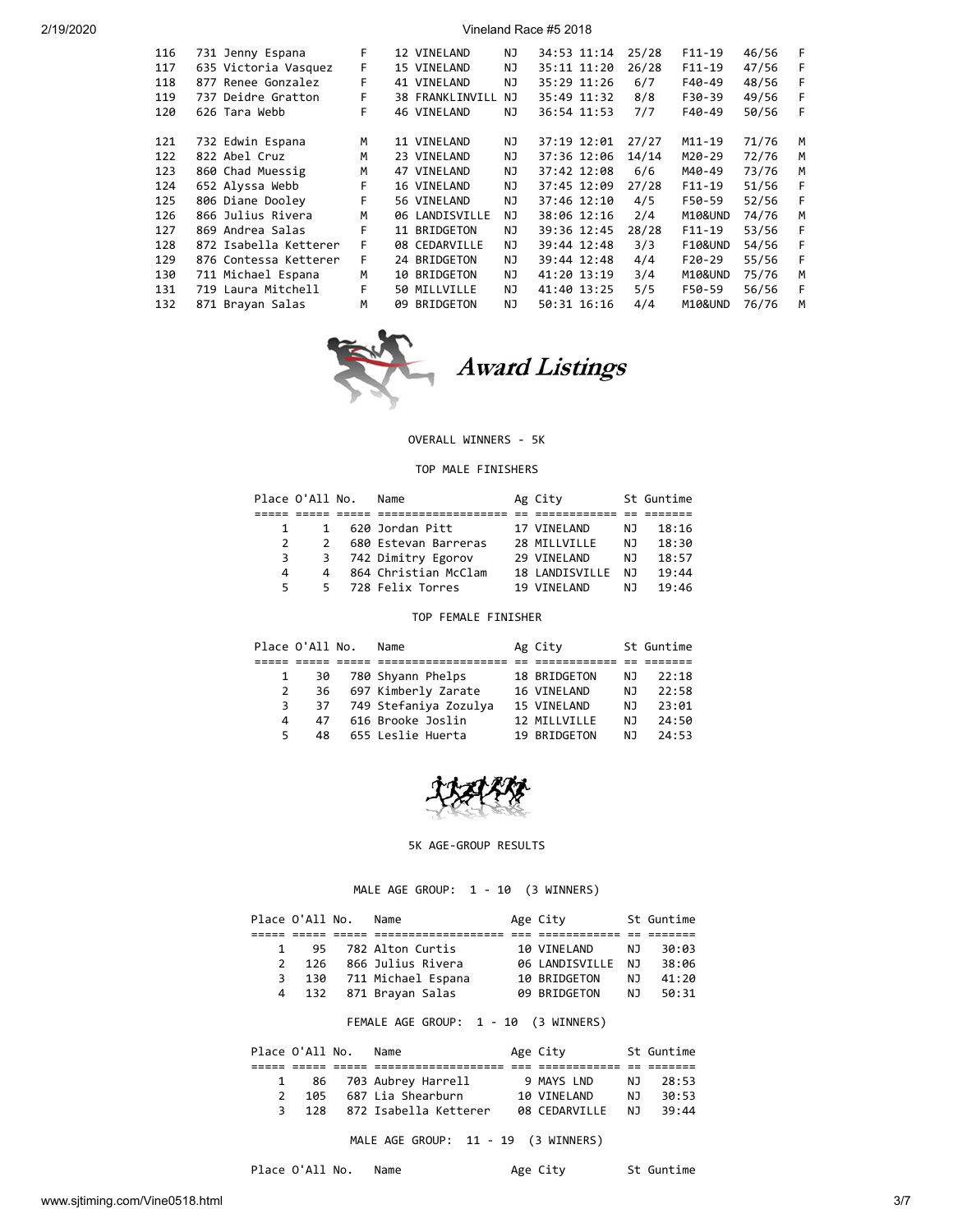| 116 | 731 Jenny Espana      | F. | 12 VINELAND            | ΝJ  | 34:53 11:14 | 25/28 | F11-19             | 46/56 | F |
|-----|-----------------------|----|------------------------|-----|-------------|-------|--------------------|-------|---|
| 117 | 635 Victoria Vasquez  | F. | 15 VINELAND            | NJ  | 35:11 11:20 | 26/28 | $F11-19$           | 47/56 | F |
| 118 | 877 Renee Gonzalez    | F  | 41 VINELAND            | NJ  | 35:29 11:26 | 6/7   | F40-49             | 48/56 | F |
| 119 | 737 Deidre Gratton    | F  | <b>38 FRANKLINVILL</b> | ΝJ  | 35:49 11:32 | 8/8   | F30-39             | 49/56 | F |
| 120 | 626 Tara Webb         | F  | 46 VINELAND            | NJ  | 36:54 11:53 | 7/7   | F40-49             | 50/56 | F |
|     |                       |    |                        |     |             |       |                    |       |   |
| 121 | 732 Edwin Espana      | M  | 11 VINELAND            | ΝJ  | 37:19 12:01 | 27/27 | M11-19             | 71/76 | M |
| 122 | 822 Abel Cruz         | м  | 23 VINELAND            | NJ  | 37:36 12:06 | 14/14 | M20-29             | 72/76 | м |
| 123 | 860 Chad Muessig      | м  | 47 VINELAND            | NJ  | 37:42 12:08 | 6/6   | M40-49             | 73/76 | M |
| 124 | 652 Alyssa Webb       | F  | 16 VINELAND            | NJ. | 37:45 12:09 | 27/28 | $F11-19$           | 51/56 | F |
| 125 | 806 Diane Dooley      | F  | 56 VINELAND            | ΝJ  | 37:46 12:10 | 4/5   | F50-59             | 52/56 | F |
| 126 | 866 Julius Rivera     | м  | 06 LANDISVILLE         | NJ  | 38:06 12:16 | 2/4   | M10&UND            | 74/76 | M |
| 127 | 869 Andrea Salas      | F  | 11 BRIDGETON           | ΝJ  | 39:36 12:45 | 28/28 | $F11-19$           | 53/56 | F |
| 128 | 872 Isabella Ketterer | F  | 08 CEDARVILLE          | ΝJ  | 39:44 12:48 | 3/3   | <b>F10&amp;UND</b> | 54/56 | F |
| 129 | 876 Contessa Ketterer | F  | 24 BRIDGETON           | ΝJ  | 39:44 12:48 | 4/4   | $F20-29$           | 55/56 | F |
| 130 | 711 Michael Espana    | м  | 10 BRIDGETON           | ΝJ  | 41:20 13:19 | 3/4   | M10&UND            | 75/76 | M |
| 131 | 719 Laura Mitchell    | F  | 50 MILLVILLE           | ΝJ  | 41:40 13:25 | 5/5   | F50-59             | 56/56 | F |
| 132 | 871 Brayan Salas      | м  | 09 BRIDGETON           | NJ  | 50:31 16:16 | 4/4   | M10&UND            | 76/76 | M |
|     |                       |    |                        |     |             |       |                    |       |   |



#### OVERALL WINNERS - 5K

#### TOP MALE FINISHERS

|              | Place O'All No. | Name                 | Ag City        |     | St Guntime |
|--------------|-----------------|----------------------|----------------|-----|------------|
|              |                 |                      |                |     |            |
| $\mathbf{1}$ | 1               | 620 Jordan Pitt      | 17 VINELAND    | NJ. | 18:16      |
|              | $\mathcal{L}$   | 680 Estevan Barreras | 28 MILLVILLE   | N J | 18:30      |
| 3            |                 | 3 742 Dimitry Egorov | 29 VINELAND    | NJ  | 18:57      |
| 4            | $\overline{4}$  | 864 Christian McClam | 18 LANDISVILLE | NJ  | 19:44      |
| 5.           | 5.              | 728 Felix Torres     | 19 VINELAND    | N J | 19:46      |

# TOP FEMALE FINISHER

|    | Place O'All No. | Name                  | Ag City      |     | St Guntime |
|----|-----------------|-----------------------|--------------|-----|------------|
|    |                 |                       |              |     |            |
| 1  | 30              | 780 Shyann Phelps     | 18 BRIDGETON | NJ  | 22:18      |
| 2  | 36              | 697 Kimberly Zarate   | 16 VINELAND  | NJ  | 22:58      |
| 3  | 37              | 749 Stefaniya Zozulya | 15 VINELAND  | NJ. | 23:01      |
| 4  | 47              | 616 Brooke Joslin     | 12 MILLVILLE | N J | 24:50      |
| 5. | 48              | 655 Leslie Huerta     | 19 BRIDGETON | N J | 24:53      |



## 5K AGE-GROUP RESULTS

MALE AGE GROUP: 1 - 10 (3 WINNERS)

| Place O'All No. |              | Name                   | Age City          |     | St Guntime |
|-----------------|--------------|------------------------|-------------------|-----|------------|
|                 |              |                        |                   |     |            |
|                 | $\mathbf{1}$ | 95 782 Alton Curtis    | 10 VINELAND       | N J | 30:03      |
| $2^{\circ}$     | 126          | 866 Julius Rivera      | 06 LANDISVILLE NJ |     | 38:06      |
| 3               |              | 130 711 Michael Espana | 10 BRIDGETON      | N J | 41:20      |
|                 | 4 132        | 871 Brayan Salas       | 09 BRIDGETON      | N J | 50:31      |

## FEMALE AGE GROUP: 1 - 10 (3 WINNERS)

|  | Place O'All No. | Name                  | Age City      |     | St Guntime |
|--|-----------------|-----------------------|---------------|-----|------------|
|  |                 |                       |               |     |            |
|  |                 | 86 703 Aubrey Harrell | 9 MAYS LND    | N J | 28:53      |
|  |                 | 105 687 Lia Shearburn | 10 VINELAND   | N T | 30:53      |
|  | 3 128           | 872 Isabella Ketterer | 08 CEDARVILLE | N T | 39:44      |

MALE AGE GROUP: 11 - 19 (3 WINNERS)

Place O'All No. Name Mage City St Guntime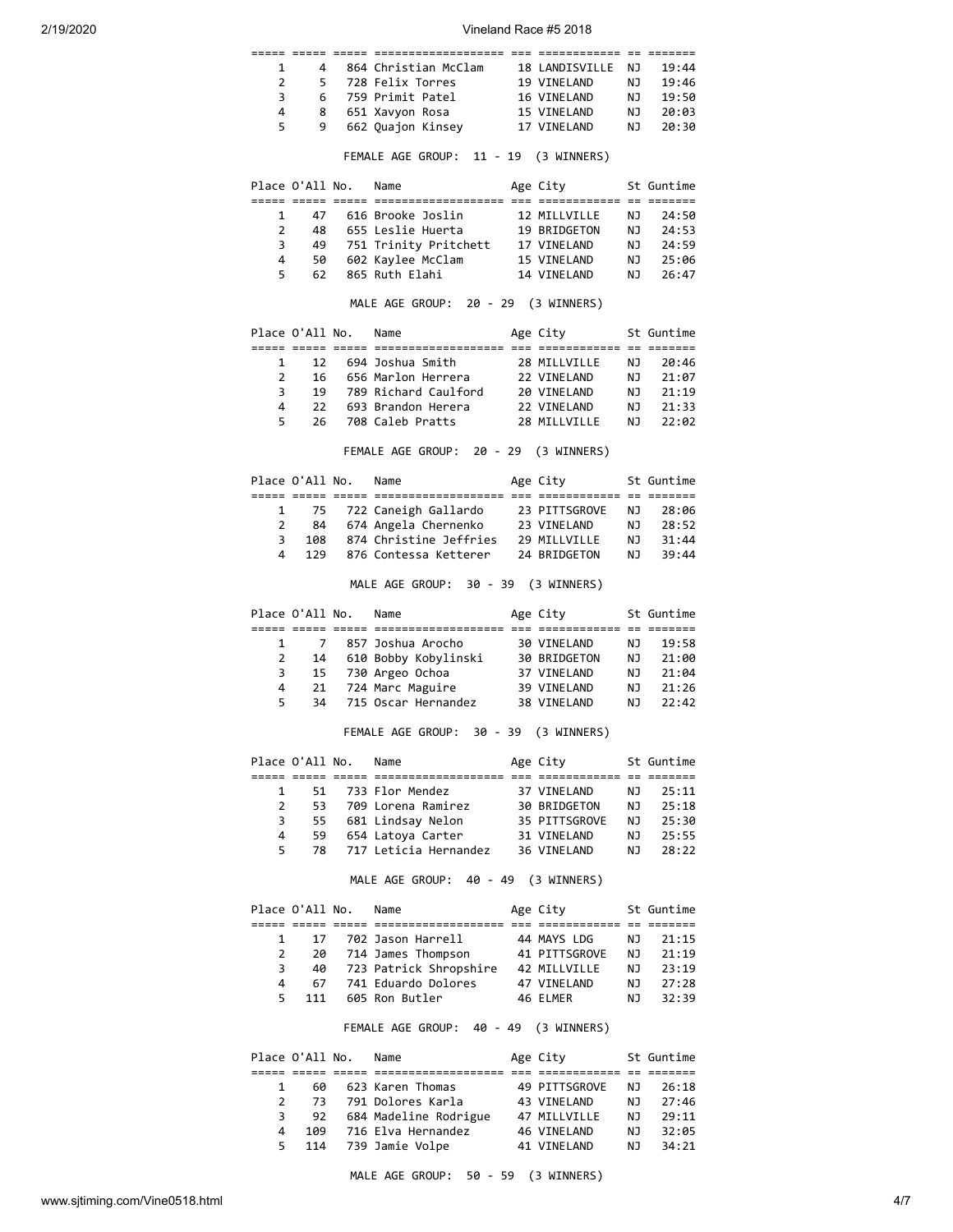| 1              |                 | $\overline{4}$       | 864 Christian McClam 18 LANDISVILLE                                                                                 |                             | NJ 1            | 19:44                |
|----------------|-----------------|----------------------|---------------------------------------------------------------------------------------------------------------------|-----------------------------|-----------------|----------------------|
| 2              | 5               |                      |                                                                                                                     |                             |                 | 19:46                |
| 3              | 6               |                      | 728 Felix Torres 19 VINELAND<br>759 Primit Patel 16 VINELAND                                                        |                             | NJ<br>NJ        | 19:50                |
| 4              |                 | 8                    | 651 Xavyon Rosa                                                                                                     | 15 VINELAND                 | NJ              | 20:03                |
| 5              |                 | 9                    | 662 Quajon Kinsey 17 VINELAND                                                                                       |                             | NJ              | 20:30                |
|                |                 |                      |                                                                                                                     |                             |                 |                      |
|                |                 |                      | FEMALE AGE GROUP: 11 - 19 (3 WINNERS)                                                                               |                             |                 |                      |
|                |                 |                      | Place O'All No. Name                                                                                                | Age City                    |                 | St Guntime           |
| 1              |                 |                      | 47 616 Brooke Joslin                                                                                                | 12 MILLVILLE                | NJ 1            | 24:50                |
| $\overline{2}$ | 48              |                      | 655 Leslie Huerta                                                                                                   | 19 BRIDGETON                |                 |                      |
| 3              |                 |                      | 49 751 Trinity Pritchett 17 VINELAND                                                                                |                             |                 | NJ 24:53<br>NJ 24:59 |
| 4              | 50              |                      | 602 Kaylee McClam                                                                                                   |                             |                 |                      |
| 5              | 62              |                      | 865 Ruth Elahi                                                                                                      | 15 VINELAND<br>14 VINELAND  |                 | NJ 25:06<br>NJ 26:47 |
|                |                 |                      | MALE AGE GROUP: 20 - 29 (3 WINNERS)                                                                                 |                             |                 |                      |
|                |                 |                      |                                                                                                                     |                             |                 |                      |
|                | Place O'All No. |                      | Name                                                                                                                | Age City                    |                 | St Guntime           |
| 1              | 12              |                      | 694 Joshua Smith 28 MILLVILLE                                                                                       |                             |                 | NJ 20:46             |
| $\overline{2}$ | 16              |                      | 656 Marlon Herrera                                                                                                  | 22 VINELAND                 | NJ 1            | 21:07                |
| 3              | 19              |                      | 789 Richard Caulford 20 VINELAND                                                                                    |                             | <b>NJ</b>       | 21:19                |
| 4              | 22              |                      |                                                                                                                     |                             |                 | 21:33                |
| 5              | 26              |                      | 789 Richard Co.<br>693 Brandon Herera<br>11 Destru<br>708 Caleb Pratts                                              | 22 VINELAND<br>28 MILLVILLE | NJ<br>NJ        | 22:02                |
|                |                 |                      | FEMALE AGE GROUP: 20 - 29 (3 WINNERS)                                                                               |                             |                 |                      |
|                |                 | Place O'All No. Name |                                                                                                                     | Age City                    |                 | St Guntime           |
|                |                 |                      |                                                                                                                     |                             |                 |                      |
| 1              |                 |                      |                                                                                                                     |                             |                 |                      |
| $\overline{2}$ |                 |                      | 75   722 Caneigh Gallardo     23 PITTSGROVE<br>84   674 Angela Chernenko     23 VINELAND<br>84 674 Angela Chernenko |                             |                 | NJ 28:06<br>NJ 28:52 |
| 3              | 108             |                      | 874 Christine Jeffries 29 MILLVILLE                                                                                 |                             |                 | 31:44                |
| 4              | 129             |                      | 876 Contessa Ketterer 24 BRIDGETON                                                                                  |                             | נא<br>ג         | 39:44                |
|                |                 |                      | MALE AGE GROUP: 30 - 39 (3 WINNERS)                                                                                 |                             |                 |                      |
|                |                 |                      |                                                                                                                     |                             |                 |                      |
|                |                 |                      |                                                                                                                     |                             |                 |                      |
|                |                 |                      | Place O'All No. Name                                                                                                | Age City                    |                 | St Guntime           |
|                |                 |                      |                                                                                                                     |                             |                 |                      |
| 1              | $\overline{7}$  |                      | 857 Joshua Arocho                                                                                                   | 30 VINELAND                 |                 | NJ 19:58             |
| $\overline{2}$ | 14              |                      |                                                                                                                     |                             | NJ              | 21:00                |
| 3              |                 |                      | 15 730 Argeo Ochoa                                                                                                  |                             |                 | NJ 21:04             |
| 4              | $21$            |                      | 724 Marc Maguire                                                                                                    | 39 VINELAND                 |                 | 21:26                |
| 5              | 34              |                      | 715 Oscar Hernandez                                                                                                 | 38 VINELAND                 | NJ<br>NJ        | 22:42                |
|                |                 |                      | FEMALE AGE GROUP: 30 - 39                                                                                           | (3 WINNERS)                 |                 |                      |
|                | Place O'All No. |                      | Name                                                                                                                | Age City                    |                 | St Guntime           |
|                |                 |                      |                                                                                                                     |                             |                 |                      |
| 1              | 51              |                      | 733 Flor Mendez                                                                                                     | 37 VINELAND                 | ΝJ              | 25:11                |
| 2              | 53              |                      | 709 Lorena Ramirez                                                                                                  | 30 BRIDGETON                | NJ              | 25:18                |
| 3              | 55              |                      | 681 Lindsay Nelon                                                                                                   | 35 PITTSGROVE               | NJ              | 25:30                |
| 4              | 59              |                      | 654 Latoya Carter                                                                                                   | 31 VINELAND                 | NJ              | 25:55                |
| 5              | 78              |                      | 717 Leticia Hernandez                                                                                               | 36 VINELAND                 | <b>NJ</b>       | 28:22                |
|                |                 |                      | MALE AGE GROUP: 40 - 49 (3 WINNERS)                                                                                 |                             |                 |                      |
|                | Place O'All No. |                      | Name                                                                                                                | Age City                    |                 | St Guntime           |
| 1              | 17              |                      |                                                                                                                     | 44 MAYS LDG                 | NJ              |                      |
| $\overline{2}$ |                 |                      | 702 Jason Harrell                                                                                                   |                             |                 | 21:15                |
|                | 20              |                      | 714 James Thompson                                                                                                  | 41 PITTSGROVE               | NJ              | 21:19                |
| 3              | 40              |                      | 723 Patrick Shropshire 42 MILLVILLE                                                                                 |                             |                 | 23:19                |
| 4<br>5         | 67<br>111       |                      | 741 Eduardo Dolores<br>605 Ron Butler                                                                               | 47 VINELAND                 | LN<br>NJ<br>NJ  | 27:28                |
|                |                 |                      |                                                                                                                     | 46 ELMER                    |                 | 32:39                |
|                |                 |                      | FEMALE AGE GROUP: 40 - 49                                                                                           | (3 WINNERS)                 |                 |                      |
|                | Place O'All No. |                      | Name                                                                                                                | Age City                    |                 | St Guntime           |
|                |                 |                      |                                                                                                                     |                             |                 |                      |
| 1              | 60 -            |                      | 623 Karen Thomas                                                                                                    | 49 PITTSGROVE               | NJ              | 26:18                |
| 2              | 73              |                      | 791 Dolores Karla                                                                                                   | 43 VINELAND                 | NJ              | 27:46                |
| 3              | 92              |                      | 684 Madeline Rodrigue                                                                                               | 47 MILLVILLE                | NJ              | 29:11                |
| 4<br>5         | 109<br>114      |                      | 716 Elva Hernandez<br>739 Jamie Volpe                                                                               | 46 VINELAND<br>41 VINELAND  | <b>NJ</b><br>NJ | 32:05<br>34:21       |

MALE AGE GROUP: 50 - 59 (3 WINNERS)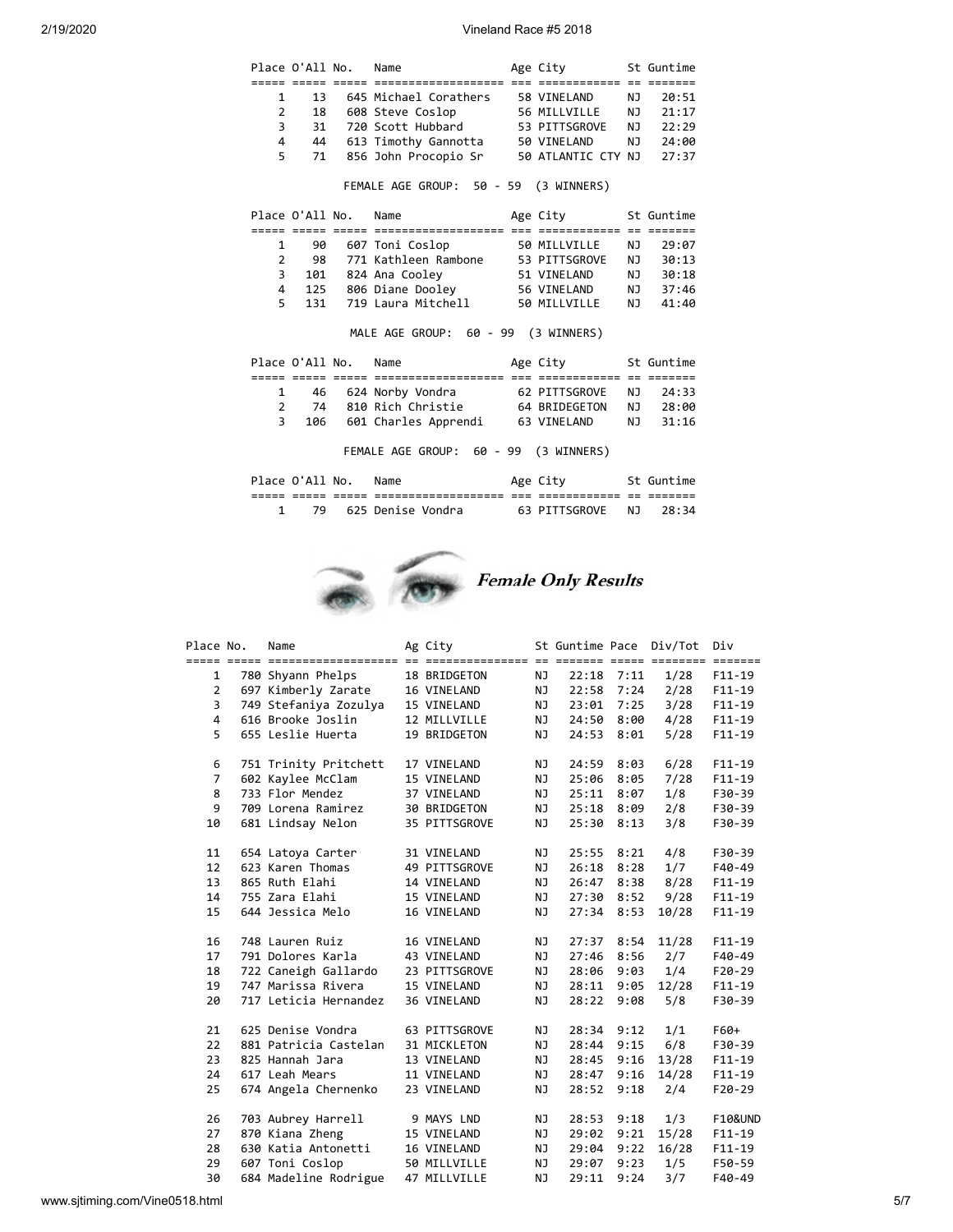|                | Place O'All No. | Name                                    | Age City            |                | St Guntime |
|----------------|-----------------|-----------------------------------------|---------------------|----------------|------------|
|                |                 |                                         | ======== ==         |                |            |
| 1              | 13              | 645 Michael Corathers 58 VINELAND       |                     | N <sub>1</sub> | 20:51      |
| $\overline{2}$ | 18              | 608 Steve Coslop 56 MILLVILLE           |                     | NJ.            | 21:17      |
| 3              | 31              | 720 Scott Hubbard 53 PITTSGROVE         |                     | NJ.            | 22:29      |
| 4              | 44              | 613 Timothy Gannotta 50 VINELAND        |                     | NJ 1           | 24:00      |
| 5              | 71              | 856 John Procopio Sr 50 ATLANTIC CTY NJ |                     |                | 27:37      |
|                |                 | FEMALE AGE GROUP: 50 - 59 (3 WINNERS)   |                     |                |            |
|                | Place O'All No. | Name                                    | Age City 5t Guntime |                |            |
|                |                 |                                         |                     |                |            |
| $\mathbf{1}$   | 90              | 607 Toni Coslop                         | 50 MILLVILLE        | NJ.            | 29:07      |
| $\overline{2}$ | 98              | 771 Kathleen Rambone 53 PITTSGROVE      |                     | NJ 1           | 30:13      |
| 3              | 101             | 824 Ana Cooley                          | 51 VINELAND         | NJ 1           | 30:18      |
| 4              |                 | 125 806 Diane Dooley                    | 56 VINELAND         | NJ 1           | 37:46      |
| 5              | 131             | 719 Laura Mitchell                      | 50 MILLVILLE        | NJ 1           | 41:40      |
|                |                 | MALE AGE GROUP: 60 - 99 (3 WINNERS)     |                     |                |            |
|                |                 |                                         |                     |                |            |
|                | Plane O'A11 No. | Name                                    | Age City            |                | St Guntime |
|                |                 |                                         |                     |                |            |
| 1              | 46              | 624 Norby Vondra                        | 62 PITTSGROVE       | NJ.            | 24:33      |
| $\overline{2}$ | 74              | 810 Rich Christie                       | 64 BRIDEGETON       | NJ             | 28:00      |
| 3              | 106             | 601 Charles Apprendi 63 VINELAND        |                     | NJ 1           | 31:16      |
|                |                 | FEMALE AGE GROUP: 60 - 99 (3 WINNERS)   |                     |                |            |
|                | Place O'All No. | Name                                    | Age City            |                | St Guntime |

| _____ | ---                      | ---   | ----------------     | ___ | ____________  | $ -$ | _______  |
|-------|--------------------------|-------|----------------------|-----|---------------|------|----------|
| _____ | _____                    | _____ | -------------------- | ___ | _____________ | --   | ________ |
|       | $\overline{\phantom{a}}$ |       | Denise<br>Vondra     |     | <b>SGRUVE</b> | N.   |          |



| Place No.      | Name                  | Ag City       |           | St Guntime Pace |      | Div/Tot | Div        |
|----------------|-----------------------|---------------|-----------|-----------------|------|---------|------------|
| $\mathbf{1}$   | 780 Shyann Phelps     | 18 BRIDGETON  | NJ        | 22:18           | 7:11 | 1/28    | $F11-19$   |
| $\overline{2}$ | 697 Kimberly Zarate   | 16 VINELAND   | NJ        | 22:58           | 7:24 | 2/28    | $F11-19$   |
| 3              | 749 Stefaniya Zozulya | 15 VINELAND   | NJ        | 23:01           | 7:25 | 3/28    | $F11-19$   |
| 4              | 616 Brooke Joslin     | 12 MILLVILLE  | ΝJ        | 24:50           | 8:00 | 4/28    | $F11-19$   |
| 5              | 655 Leslie Huerta     | 19 BRIDGETON  | NJ        | 24:53           | 8:01 | 5/28    | $F11 - 19$ |
| 6              | 751 Trinity Pritchett | 17 VINELAND   | ΝJ        | 24:59           | 8:03 | 6/28    | $F11-19$   |
| $\overline{7}$ | 602 Kaylee McClam     | 15 VINELAND   | NJ        | 25:06           | 8:05 | 7/28    | $F11-19$   |
| 8              | 733 Flor Mendez       | 37 VINELAND   | NJ        | 25:11           | 8:07 | 1/8     | F30-39     |
| 9              | 709 Lorena Ramirez    | 30 BRIDGETON  | NJ        | 25:18           | 8:09 | 2/8     | F30-39     |
| 10             | 681 Lindsay Nelon     | 35 PITTSGROVE | <b>NJ</b> | 25:30           | 8:13 | 3/8     | F30-39     |
| 11             | 654 Latoya Carter     | 31 VINELAND   | NJ        | 25:55           | 8:21 | 4/8     | F30-39     |
| 12             | 623 Karen Thomas      | 49 PITTSGROVE | NJ        | 26:18           | 8:28 | 1/7     | F40-49     |
| 13             | 865 Ruth Elahi        | 14 VINELAND   | NJ        | 26:47           | 8:38 | 8/28    | $F11-19$   |
| 14             | 755 Zara Elahi        | 15 VINELAND   | NJ        | 27:30           | 8:52 | 9/28    | $F11-19$   |
| 15             | 644 Jessica Melo      | 16 VINELAND   | NJ        | 27:34           | 8:53 | 10/28   | $F11-19$   |
| 16             | 748 Lauren Ruiz       | 16 VINELAND   | NJ        | 27:37           | 8:54 | 11/28   | $F11-19$   |
| 17             | 791 Dolores Karla     | 43 VINELAND   | NJ        | 27:46           | 8:56 | 2/7     | F40-49     |
| 18             | 722 Caneigh Gallardo  | 23 PITTSGROVE | NJ        | 28:06           | 9:03 | 1/4     | $F20-29$   |
| 19             | 747 Marissa Rivera    | 15 VINELAND   | NJ        | 28:11           | 9:05 | 12/28   | $F11-19$   |
| 20             | 717 Leticia Hernandez | 36 VINELAND   | NJ        | 28:22           | 9:08 | 5/8     | F30-39     |
| 21             | 625 Denise Vondra     | 63 PITTSGROVE | ΝJ        | 28:34           | 9:12 | 1/1     | F60+       |
| 22             | 881 Patricia Castelan | 31 MICKLETON  | NJ        | 28:44           | 9:15 | 6/8     | F30-39     |
| 23             | 825 Hannah Jara       | 13 VINELAND   | NJ        | 28:45           | 9:16 | 13/28   | $F11-19$   |
| 24             | 617 Leah Mears        | 11 VINELAND   | NJ        | 28:47           | 9:16 | 14/28   | $F11-19$   |
| 25             | 674 Angela Chernenko  | 23 VINELAND   | NJ        | 28:52           | 9:18 | 2/4     | $F20-29$   |
| 26             | 703 Aubrey Harrell    | 9 MAYS LND    | ΝJ        | 28:53           | 9:18 | 1/3     | F10&UND    |
| 27             | 870 Kiana Zheng       | 15 VINELAND   | NJ        | 29:02           | 9:21 | 15/28   | $F11-19$   |
| 28             | 630 Katia Antonetti   | 16 VINELAND   | NJ        | 29:04           | 9:22 | 16/28   | $F11-19$   |
| 29             | 607 Toni Coslop       | 50 MILLVILLE  | ΝJ        | 29:07           | 9:23 | 1/5     | F50-59     |
| 30             | 684 Madeline Rodrigue | 47 MILLVILLE  | NJ        | 29:11           | 9:24 | 3/7     | F40-49     |
|                |                       |               |           |                 |      |         |            |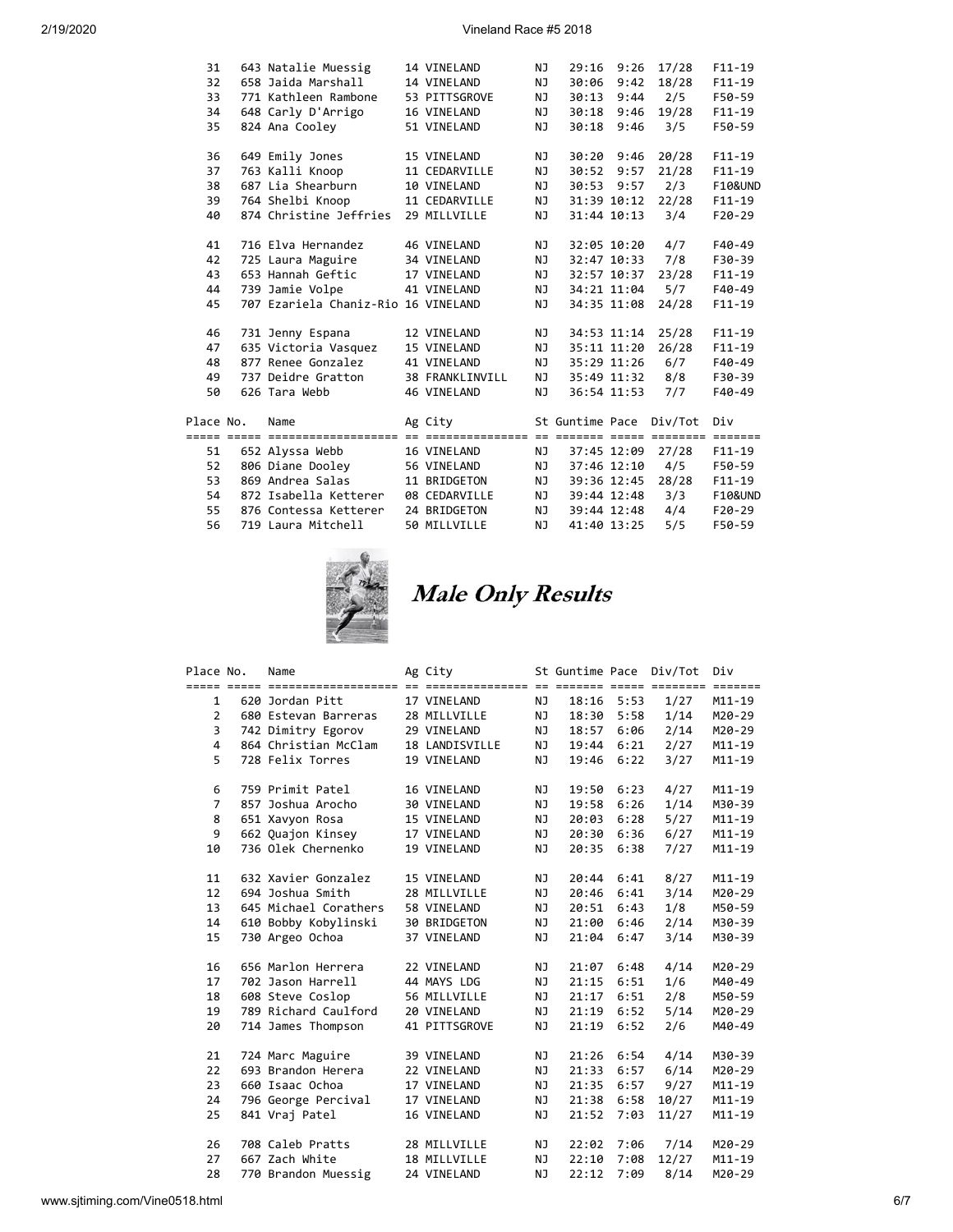| 31        | 643 Natalie Muessig                 | 14 VINELAND     | NJ        | 29:16           | 9:26        | 17/28   | $F11-19$           |
|-----------|-------------------------------------|-----------------|-----------|-----------------|-------------|---------|--------------------|
| 32        | 658 Jaida Marshall                  | 14 VINELAND     | <b>NJ</b> | 30:06           | 9:42        | 18/28   | $F11-19$           |
| 33        | 771 Kathleen Rambone                | 53 PITTSGROVE   | NJ        | 30:13           | 9:44        | 2/5     | F50-59             |
| 34        | 648 Carly D'Arrigo                  | 16 VINELAND     | NJ        | 30:18           | 9:46        | 19/28   | $F11-19$           |
| 35        | 824 Ana Cooley                      | 51 VINELAND     | NJ        | 30:18           | 9:46        | 3/5     | F50-59             |
|           |                                     |                 |           |                 |             |         |                    |
| 36        | 649 Emily Jones                     | 15 VINELAND     | ΝJ        | 30:20           | 9:46        | 20/28   | $F11-19$           |
| 37        | 763 Kalli Knoop                     | 11 CEDARVILLE   | NJ        | 30:52           | 9:57        | 21/28   | $F11-19$           |
| 38        | 687 Lia Shearburn                   | 10 VINELAND     | ΝJ        | 30:53           | 9:57        | 2/3     | F10&UND            |
| 39        | 764 Shelbi Knoop                    | 11 CEDARVILLE   | NJ        |                 | 31:39 10:12 | 22/28   | $F11-19$           |
| 40        | 874 Christine Jeffries              | 29 MILLVILLE    | <b>NJ</b> |                 | 31:44 10:13 | 3/4     | $F20-29$           |
|           |                                     |                 |           |                 |             |         |                    |
| 41        | 716 Elva Hernandez                  | 46 VINELAND     | NJ        |                 | 32:05 10:20 | 4/7     | F40-49             |
| 42        | 725 Laura Maguire                   | 34 VINELAND     | NJ        |                 | 32:47 10:33 | 7/8     | F30-39             |
| 43        | 653 Hannah Geftic                   | 17 VINELAND     | NJ        |                 | 32:57 10:37 | 23/28   | $F11 - 19$         |
| 44        | 739 Jamie Volpe                     | 41 VINELAND     | NJ        |                 | 34:21 11:04 | 5/7     | F40-49             |
| 45        | 707 Ezariela Chaniz-Rio 16 VINELAND |                 | NJ        |                 | 34:35 11:08 | 24/28   | $F11 - 19$         |
|           |                                     |                 |           |                 |             |         |                    |
| 46        | 731 Jenny Espana                    | 12 VINELAND     | <b>NJ</b> |                 | 34:53 11:14 | 25/28   | $F11-19$           |
| 47        | 635 Victoria Vasquez                | 15 VINELAND     | NJ        |                 | 35:11 11:20 | 26/28   | $F11-19$           |
| 48        | 877 Renee Gonzalez                  | 41 VINELAND     | <b>NJ</b> |                 | 35:29 11:26 | 6/7     | F40-49             |
| 49        | 737 Deidre Gratton                  | 38 FRANKLINVILL | NJ        |                 | 35:49 11:32 | 8/8     | F30-39             |
| 50        | 626 Tara Webb                       | 46 VINELAND     | <b>NJ</b> |                 | 36:54 11:53 | 7/7     | F40-49             |
|           |                                     |                 |           |                 |             |         |                    |
| Place No. | Name                                | Ag City         |           | St Guntime Pace |             | Div/Tot | Div                |
|           |                                     |                 |           |                 |             |         |                    |
| 51        | 652 Alyssa Webb                     | 16 VINELAND     | NJ        |                 | 37:45 12:09 | 27/28   | $F11-19$           |
| 52        | 806 Diane Dooley                    | 56 VINELAND     | NJ        |                 | 37:46 12:10 | 4/5     | F50-59             |
| 53        | 869 Andrea Salas                    | 11 BRIDGETON    | NJ        |                 | 39:36 12:45 | 28/28   | $F11-19$           |
| 54        | 872 Isabella Ketterer               | 08 CEDARVILLE   | NJ        |                 | 39:44 12:48 | 3/3     | <b>F10&amp;UND</b> |
| 55        | 876 Contessa Ketterer               | 24 BRIDGETON    | NJ        |                 | 39:44 12:48 | 4/4     | $F20-29$           |
| 56        | 719 Laura Mitchell                  | 50 MILLVILLE    | NJ        | 41:40 13:25     |             | 5/5     | F50-59             |



Male Only Results

| Place No.      | Name                  | Ag City             |    | St Guntime Pace |      | Div/Tot                       | Div        |
|----------------|-----------------------|---------------------|----|-----------------|------|-------------------------------|------------|
|                |                       |                     |    |                 |      | secondo cono concerto concert |            |
| $\mathbf{1}$   | 620 Jordan Pitt       | 17 VINELAND         | NJ | 18:16           | 5:53 | 1/27                          | $M11 - 19$ |
| $\overline{2}$ | 680 Estevan Barreras  | 28 MILLVILLE        | NJ | 18:30           | 5:58 | 1/14                          | M20-29     |
| 3              | 742 Dimitry Egorov    | 29 VINELAND         | NJ | 18:57           | 6:06 | 2/14                          | M20-29     |
| 4              | 864 Christian McClam  | 18 LANDISVILLE      | NJ | 19:44           | 6:21 | 2/27                          | $M11-19$   |
| 5              | 728 Felix Torres      | 19 VINELAND         | ΝJ | 19:46           | 6:22 | 3/27                          | $M11 - 19$ |
| 6              | 759 Primit Patel      | 16 VINELAND         | NJ | 19:50           | 6:23 | 4/27                          | $M11 - 19$ |
| $\overline{7}$ | 857 Joshua Arocho     | 30 VINELAND         | NJ | 19:58           | 6:26 | 1/14                          | M30-39     |
| 8              | 651 Xavyon Rosa       | 15 VINELAND         | NJ | 20:03           | 6:28 | 5/27                          | $M11 - 19$ |
| 9              | 662 Quajon Kinsey     | 17 VINELAND         | NJ | 20:30           | 6:36 | 6/27                          | $M11 - 19$ |
| 10             | 736 Olek Chernenko    | 19 VINELAND         | NJ | 20:35           | 6:38 | 7/27                          | $M11 - 19$ |
|                |                       |                     |    |                 |      |                               |            |
| 11             | 632 Xavier Gonzalez   | 15 VINELAND         | ΝJ | 20:44           | 6:41 | 8/27                          | $M11 - 19$ |
| 12             | 694 Joshua Smith      | 28 MILLVILLE        | NJ | 20:46           | 6:41 | 3/14                          | M20-29     |
| 13             | 645 Michael Corathers | 58 VINELAND         | NJ | 20:51           | 6:43 | 1/8                           | M50-59     |
| 14             | 610 Bobby Kobylinski  | <b>30 BRIDGETON</b> | NJ | 21:00           | 6:46 | 2/14                          | M30-39     |
| 15             | 730 Argeo Ochoa       | 37 VINELAND         | NJ | 21:04           | 6:47 | 3/14                          | M30-39     |
| 16             | 656 Marlon Herrera    | 22 VINELAND         | ΝJ | 21:07           | 6:48 | 4/14                          | M20-29     |
| 17             | 702 Jason Harrell     | 44 MAYS LDG         | NJ | 21:15           | 6:51 | 1/6                           | M40-49     |
| 18             | 608 Steve Coslop      | 56 MILLVILLE        | NJ | 21:17           | 6:51 | 2/8                           | M50-59     |
| 19             | 789 Richard Caulford  | 20 VINELAND         | NJ | 21:19           | 6:52 | 5/14                          | M20-29     |
| 20             | 714 James Thompson    | 41 PITTSGROVE       | NJ | 21:19           | 6:52 | 2/6                           | M40-49     |
| 21             | 724 Marc Maguire      | 39 VINELAND         | NJ | 21:26           | 6:54 | 4/14                          | M30-39     |
| 22             | 693 Brandon Herera    | 22 VINELAND         | NJ | 21:33           | 6:57 | 6/14                          | M20-29     |
| 23             | 660 Isaac Ochoa       | 17 VINELAND         | NJ | 21:35           | 6:57 | 9/27                          | $M11 - 19$ |
| 24             | 796 George Percival   | 17 VINELAND         | NJ | 21:38           | 6:58 | 10/27                         | $M11 - 19$ |
| 25             | 841 Vraj Patel        | 16 VINELAND         | NJ | 21:52           | 7:03 | 11/27                         | $M11 - 19$ |
|                |                       |                     |    |                 |      |                               |            |
| 26             | 708 Caleb Pratts      | 28 MILLVILLE        | NJ | 22:02           | 7:06 | 7/14                          | M20-29     |
| 27             | 667 Zach White        | 18 MILLVILLE        | NJ | 22:10           | 7:08 | 12/27                         | $M11 - 19$ |
| 28             | 770 Brandon Muessig   | 24 VINELAND         | NJ | 22:12           | 7:09 | 8/14                          | M20-29     |